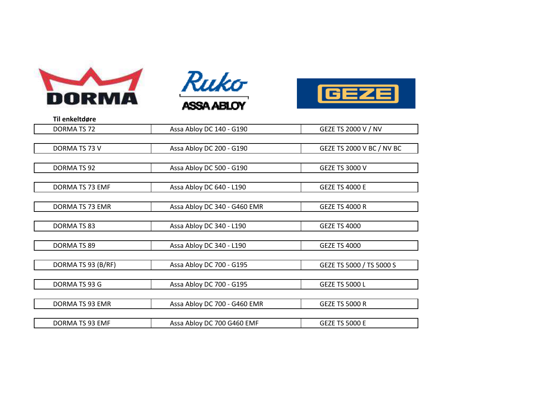





| Til enkeltdøre     |                              |                           |
|--------------------|------------------------------|---------------------------|
| DORMA TS 72        | Assa Abloy DC 140 - G190     | GEZE TS 2000 V / NV       |
|                    |                              |                           |
| DORMA TS 73 V      | Assa Abloy DC 200 - G190     | GEZE TS 2000 V BC / NV BC |
|                    |                              |                           |
| DORMA TS 92        | Assa Abloy DC 500 - G190     | <b>GEZE TS 3000 V</b>     |
|                    |                              |                           |
| DORMA TS 73 EMF    | Assa Abloy DC 640 - L190     | <b>GEZE TS 4000 E</b>     |
| DORMA TS 73 EMR    | Assa Abloy DC 340 - G460 EMR | <b>GFZF TS 4000 R</b>     |
|                    |                              |                           |
| DORMA TS 83        | Assa Abloy DC 340 - L190     | <b>GEZE TS 4000</b>       |
|                    |                              |                           |
| DORMA TS 89        | Assa Abloy DC 340 - L190     | <b>GEZE TS 4000</b>       |
|                    |                              |                           |
| DORMA TS 93 (B/RF) | Assa Abloy DC 700 - G195     | GEZE TS 5000 / TS 5000 S  |
|                    |                              |                           |
| DORMA TS 93 G      | Assa Abloy DC 700 - G195     | <b>GEZE TS 5000 L</b>     |
|                    |                              |                           |
| DORMA TS 93 EMR    | Assa Abloy DC 700 - G460 EMR | <b>GEZE TS 5000 R</b>     |
|                    |                              |                           |
| DORMA TS 93 EMF    | Assa Abloy DC 700 G460 EMF   | <b>GEZE TS 5000 E</b>     |